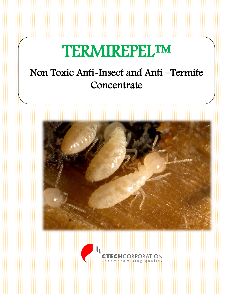# **TERMIREPEL™**

### Non Toxic Anti-Insect and Anti –Termite **Concentrate**



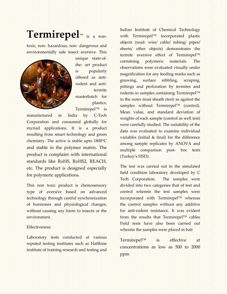### **Termirepel™** is a non-

toxic, non- hazardous, non- dangerous and environmentally safe insect aversive. This



unique state-ofthe- art product is popularly offered as antirodent and antitermite masterbatch for plastics. Termirepel™ is

manufactured in India by C-Tech Corporation and consumed globally for myriad applications. It is a product resulting from smart technology and green chemistry. The active is stable upto 1800<sup>o</sup>C and stable in the polymer matrix. The product is complaint with international standards like RoHS, RoHS2, REACH, etc. The product is designed especially for polymeric applications.

This non toxic product is chemosensory type of aversive based on advanced technology through careful synchronization of hormones and physiological changes, without causing any harm to insects or the environment.

#### Effectiveness:

Laboratory tests conducted at various reputed testing institutes such as Haffkine institute of training research and testing and

Indian Institute of Chemical Technology with Termirepel™ incorporated plastic objects (read: wire/ cable/ tubing/ pipes/ sheets/ other objects) demonstrates the termite aversive effect of Termirepel™ containing polymeric materials. The observations were evaluated visually under magnification for any feeding marks such as gnawing, surface nibbling, scraping, pittings and perforation by termites and rodents in samples containing Termirepel™ in the outer most sheath (test) as against the samples without Termirepel™ (control). Mean value, and standard deviation of weights of each sample (control as well test) were carefully studied. The suitability of the data was evaluated to examine individual variables (initial & final) for the difference among sample replicates by ANOVA and multiple comparison post- hoc tests (Turkey's HSD).

The test was carried out in the simulated field condition laboratory developed by C Tech Corporation. The samples were divided into two categories that of test and control wherein the test samples were incorporated with Termirepel™ whereas the control samples without any additive for anti-rodent resistance. It was evident from the results that Termirepel™ cables Field tests have also been carried out wherein the samples were placed in bait

Termirepel™ is effective at concentrations as low as 500 to 2000 ppm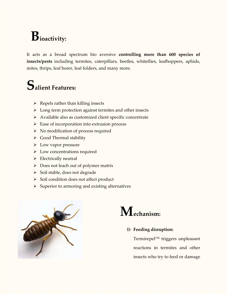# **Bioactivity:**

It acts as a broad spectrum bio aversive **controlling more than 600 species of insects/pests** including termites, caterpillars, beetles, whiteflies, leafhoppers, aphids, mites, thrips, leaf borer, leaf folders, and many more.

### **Salient Features:**

- $\triangleright$  Repels rather than killing insects
- Long term protection against termites and other insects
- Available also as customized client specific concentrate
- Ease of incorporation into extrusion process
- No modification of process required
- Good Thermal stability
- $\blacktriangleright$  Low vapor pressure
- Low concentrations required
- Electrically neutral
- $\triangleright$  Does not leach out of polymer matrix
- Soil stable, does not degrade
- Soil condition does not affect product
- $\triangleright$  Superior to armoring and existing alternatives





**1) Feeding disruption:** 

Termirepel™ triggers unpleasant reactions in termites and other insects who try to feed or damage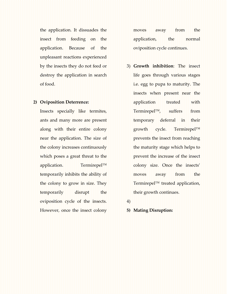the application. It dissuades the insect from feeding on the application. Because of the unpleasant reactions experienced by the insects they do not feed or destroy the application in search of food.

#### **2) Oviposition Deterrence:**

Insects specially like termites, ants and many more are present along with their entire colony near the application. The size of the colony increases continuously which poses a great threat to the application. Termirepel™ temporarily inhibits the ability of the colony to grow in size. They temporarily disrupt the oviposition cycle of the insects. However, once the insect colony moves away from the application, the normal oviposition cycle continues.

- 3) **Growth inhibition**: The insect life goes through various stages i.e. egg to pupa to maturity. The insects when present near the application treated with Termirepel™, suffers from temporary deferral in their growth cycle. Termirepel™ prevents the insect from reaching the maturity stage which helps to prevent the increase of the insect colony size. Once the insects' moves away from the Termirepel™ treated application, their growth continues.
- 4)

#### **5) Mating Disruption:**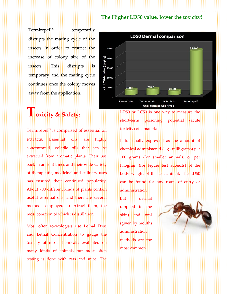#### **The Higher LD50 value, lower the toxicity!**

 $Termirepel^{\text{TM}}$  temporarily disrupts the mating cycle of the insects in order to restrict the increase of colony size of the insects. This disrupts is temporary and the mating cycle continues once the colony moves away from the application.

### **Toxicity & Safety:**

Termirepel™ is comprised of essential oil extracts. Essential oils are highly concentrated, volatile oils that can be extracted from aromatic plants. Their use back in ancient times and their wide variety of therapeutic, medicinal and culinary uses has ensured their continued popularity. About 700 different kinds of plants contain useful essential oils, and there are several methods employed to extract them, the most common of which is distillation.

Most often toxicologists use Lethal Dose and Lethal Concentration to gauge the toxicity of most chemicals; evaluated on many kinds of animals but most often testing is done with rats and mice. The



LD50 or LC50 is one way to measure the short-term poisoning potential (acute toxicity) of a material.

It is usually expressed as the amount of chemical administered (e.g., milligrams) per 100 grams (for smaller animals) or per kilogram (for bigger test subjects) of the body weight of the test animal. The LD50 can be found for any route of entry or administration

but **dermal** (applied to the skin) and oral (given by mouth) administration methods are the most common.

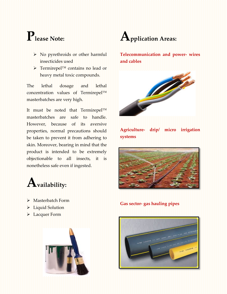# **Please Note:**

- No pyrethroids or other harmful insecticides used
- Termirepel™ contains no lead or heavy metal toxic compounds.

The lethal dosage and lethal concentration values of Termirepel™ masterbatches are very high.

It must be noted that Termirepel™ masterbatches are safe to handle. However, because of its aversive properties, normal precautions should be taken to prevent it from adhering to skin. Moreover, bearing in mind that the product is intended to be extremely objectionable to all insects, it is nonetheless safe even if ingested.



- Masterbatch Form
- Liquid Solution
- Lacquer Form





**Telecommunication and power- wires and cables**



**Agriculture- drip/ micro irrigation systems**



### **Gas sector- gas hauling pipes**

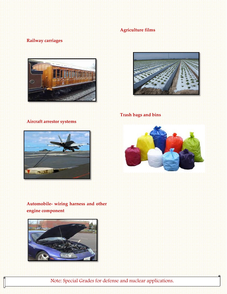### **Agriculture films**

### **Railway carriages**



### **Aircraft arrestor systems**



### **Automobile- wiring harness and other engine component**





**Trash bags and bins** 



Note: Special Grades for defense and nuclear applications.